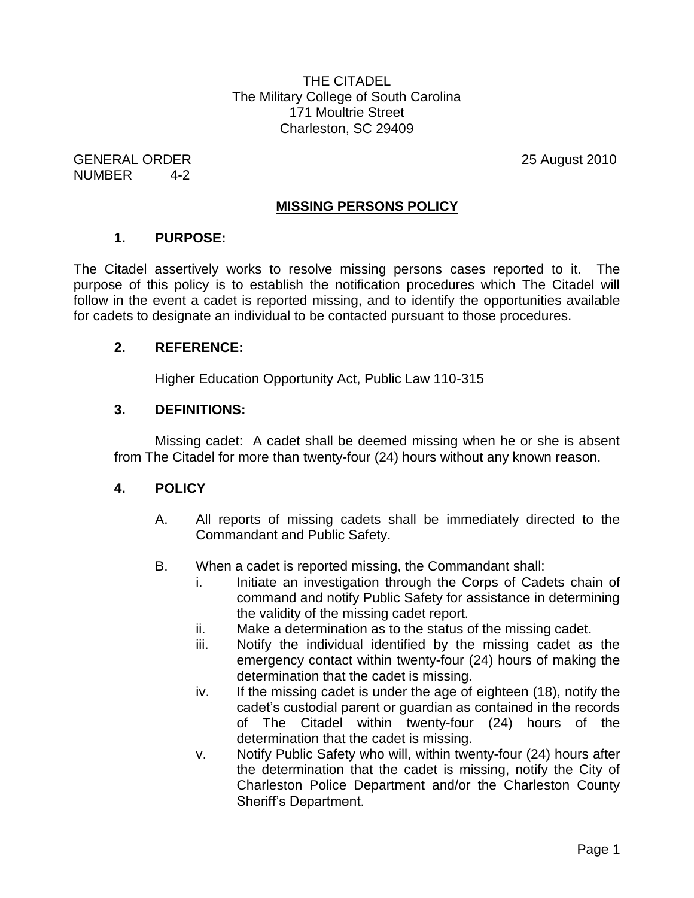THE CITADEL The Military College of South Carolina 171 Moultrie Street Charleston, SC 29409

GENERAL ORDER 25 August 2010 NUMBER 4-2

### **MISSING PERSONS POLICY**

#### **1. PURPOSE:**

The Citadel assertively works to resolve missing persons cases reported to it. The purpose of this policy is to establish the notification procedures which The Citadel will follow in the event a cadet is reported missing, and to identify the opportunities available for cadets to designate an individual to be contacted pursuant to those procedures.

### **2. REFERENCE:**

Higher Education Opportunity Act, Public Law 110-315

### **3. DEFINITIONS:**

Missing cadet: A cadet shall be deemed missing when he or she is absent from The Citadel for more than twenty-four (24) hours without any known reason.

### **4. POLICY**

- A. All reports of missing cadets shall be immediately directed to the Commandant and Public Safety.
- B. When a cadet is reported missing, the Commandant shall:
	- i. Initiate an investigation through the Corps of Cadets chain of command and notify Public Safety for assistance in determining the validity of the missing cadet report.
	- ii. Make a determination as to the status of the missing cadet.
	- iii. Notify the individual identified by the missing cadet as the emergency contact within twenty-four (24) hours of making the determination that the cadet is missing.
	- iv. If the missing cadet is under the age of eighteen (18), notify the cadet's custodial parent or guardian as contained in the records of The Citadel within twenty-four (24) hours of the determination that the cadet is missing.
	- v. Notify Public Safety who will, within twenty-four (24) hours after the determination that the cadet is missing, notify the City of Charleston Police Department and/or the Charleston County Sheriff's Department.